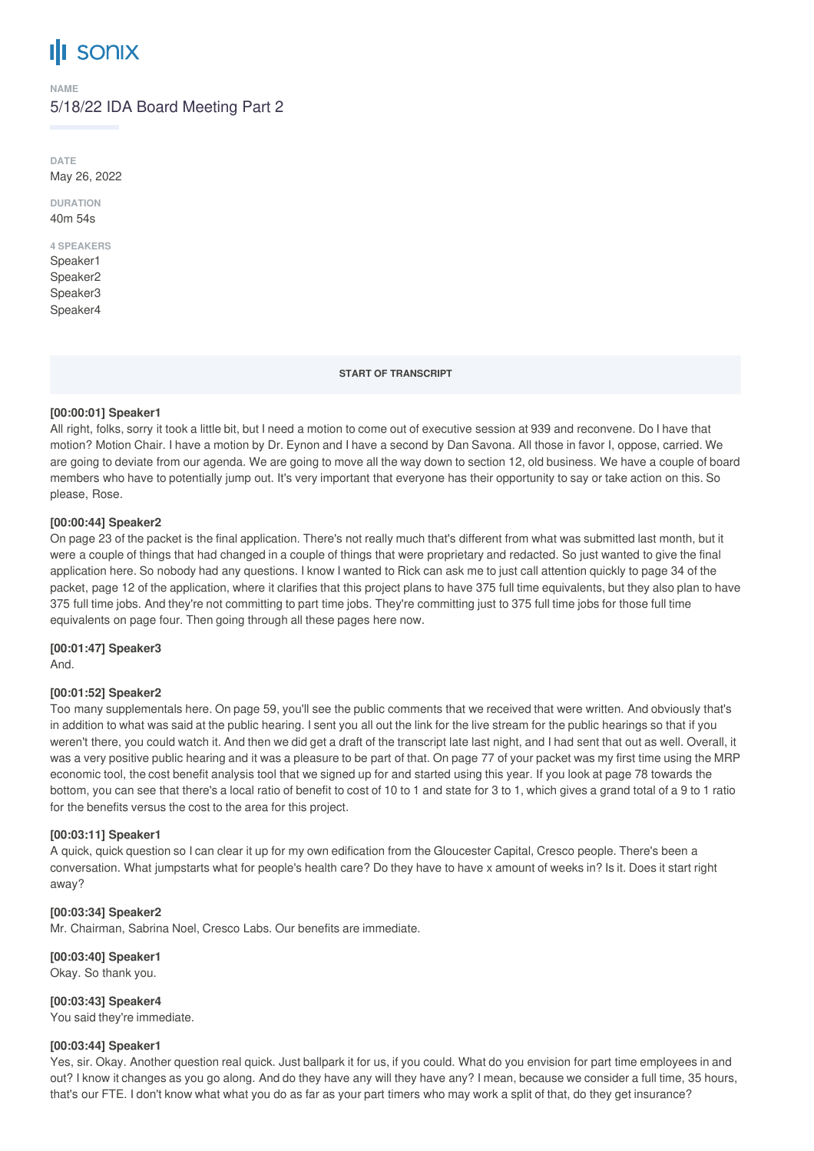# **SONIX**

**NAME**

## 5/18/22 IDA Board Meeting Part 2

**DATE** May 26, 2022

**DURATION** 40m 54s

## **4 SPEAKERS** Speaker1

Speaker2 Speaker3 Speaker4

**START OF TRANSCRIPT**

## **[00:00:01] Speaker1**

All right, folks, sorry it took a little bit, but I need a motion to come out of executive session at 939 and reconvene. Do I have that motion? Motion Chair. I have a motion by Dr. Eynon and I have a second by Dan Savona. All those in favor I, oppose, carried. We are going to deviate from our agenda. We are going to move all the way down to section 12, old business. We have a couple of board members who have to potentially jump out. It's very important that everyone has their opportunity to say or take action on this. So please, Rose.

## **[00:00:44] Speaker2**

On page 23 of the packet is the final application. There's not really much that's different from what was submitted last month, but it were a couple of things that had changed in a couple of things that were proprietary and redacted. So just wanted to give the final application here. So nobody had any questions. I know I wanted to Rick can ask me to just call attention quickly to page 34 of the packet, page 12 of the application, where it clarifies that this project plans to have 375 full time equivalents, but they also plan to have 375 full time jobs. And they're not committing to part time jobs. They're committing just to 375 full time jobs for those full time equivalents on page four. Then going through all these pages here now.

## **[00:01:47] Speaker3**

And.

## **[00:01:52] Speaker2**

Too many supplementals here. On page 59, you'll see the public comments that we received that were written. And obviously that's in addition to what was said at the public hearing. I sent you all out the link for the live stream for the public hearings so that if you weren't there, you could watch it. And then we did get a draft of the transcript late last night, and I had sent that out as well. Overall, it was a very positive public hearing and it was a pleasure to be part of that. On page 77 of your packet was my first time using the MRP economic tool, the cost benefit analysis tool that we signed up for and started using this year. If you look at page 78 towards the bottom, you can see that there's a local ratio of benefit to cost of 10 to 1 and state for 3 to 1, which gives a grand total of a 9 to 1 ratio for the benefits versus the cost to the area for this project.

## **[00:03:11] Speaker1**

A quick, quick question so I can clear it up for my own edification from the Gloucester Capital, Cresco people. There's been a conversation. What jumpstarts what for people's health care? Do they have to have x amount of weeks in? Is it. Does it start right away?

## **[00:03:34] Speaker2**

Mr. Chairman, Sabrina Noel, Cresco Labs. Our benefits are immediate.

## **[00:03:40] Speaker1**

Okay. So thank you.

**[00:03:43] Speaker4** You said they're immediate.

## **[00:03:44] Speaker1**

Yes, sir. Okay. Another question real quick. Just ballpark it for us, if you could. What do you envision for part time employees in and out? I know it changes as you go along. And do they have any will they have any? I mean, because we consider a full time, 35 hours, that's our FTE. I don't know what what you do as far as your part timers who may work a split of that, do they get insurance?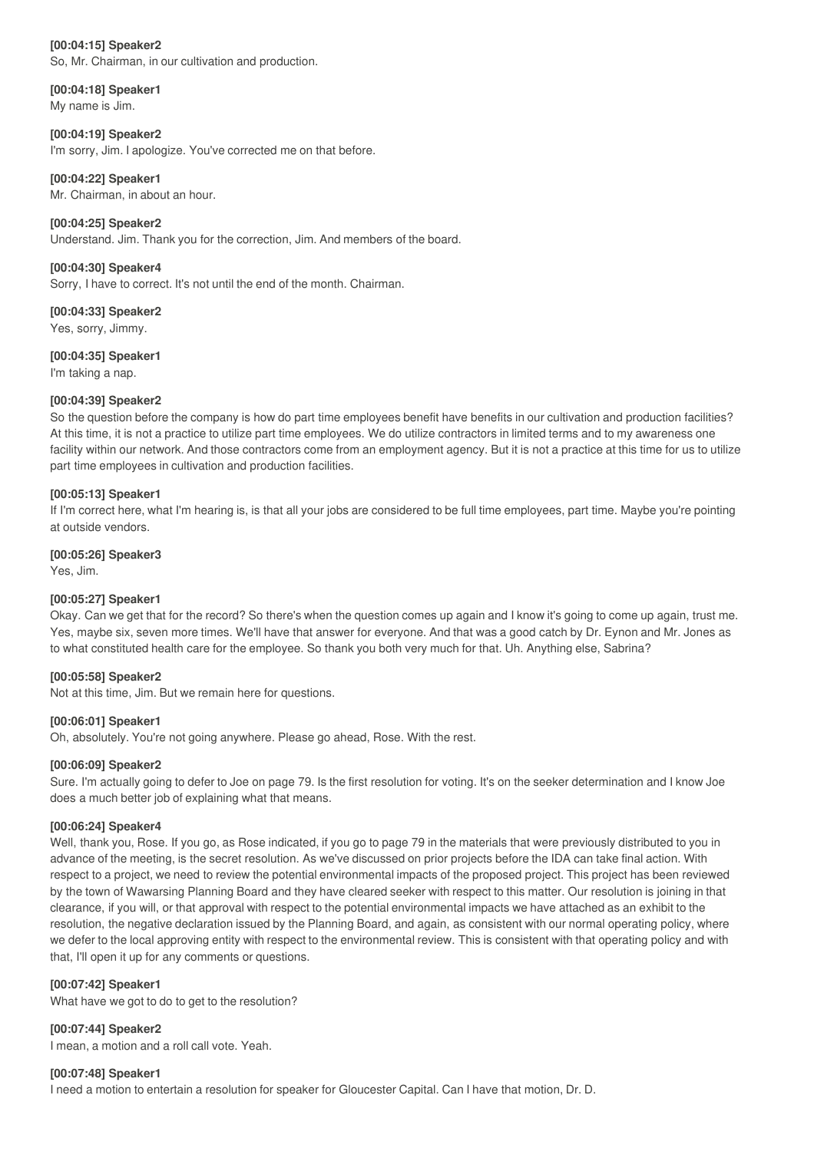## **[00:04:15] Speaker2**

So, Mr. Chairman, in our cultivation and production.

**[00:04:18] Speaker1** My name is Jim.

**[00:04:19] Speaker2** I'm sorry, Jim. I apologize. You've corrected me on that before.

## **[00:04:22] Speaker1**

Mr. Chairman, in about an hour.

**[00:04:25] Speaker2** Understand. Jim. Thank you for the correction, Jim. And members of the board.

**[00:04:30] Speaker4** Sorry, I have to correct. It's not until the end of the month. Chairman.

**[00:04:33] Speaker2** Yes, sorry, Jimmy.

**[00:04:35] Speaker1** I'm taking a nap.

# **[00:04:39] Speaker2**

So the question before the company is how do part time employees benefit have benefits in our cultivation and production facilities? At this time, it is not a practice to utilize part time employees. We do utilize contractors in limited terms and to my awareness one facility within our network. And those contractors come from an employment agency. But it is not a practice at this time for us to utilize part time employees in cultivation and production facilities.

## **[00:05:13] Speaker1**

If I'm correct here, what I'm hearing is, is that all your jobs are considered to be full time employees, part time. Maybe you're pointing at outside vendors.

### **[00:05:26] Speaker3**

Yes, Jim.

## **[00:05:27] Speaker1**

Okay. Can we get that for the record? So there's when the question comes up again and I know it's going to come up again, trust me. Yes, maybe six, seven more times. We'll have that answer for everyone. And that was a good catch by Dr. Eynon and Mr. Jones as to what constituted health care for the employee. So thank you both very much for that. Uh. Anything else, Sabrina?

#### **[00:05:58] Speaker2**

Not at this time, Jim. But we remain here for questions.

## **[00:06:01] Speaker1**

Oh, absolutely. You're not going anywhere. Please go ahead, Rose. With the rest.

## **[00:06:09] Speaker2**

Sure. I'm actually going to defer to Joe on page 79. Is the first resolution for voting. It's on the seeker determination and I know Joe does a much better job of explaining what that means.

#### **[00:06:24] Speaker4**

Well, thank you, Rose. If you go, as Rose indicated, if you go to page 79 in the materials that were previously distributed to you in advance of the meeting, is the secret resolution. As we've discussed on prior projects before the IDA can take final action. With respect to a project, we need to review the potential environmental impacts of the proposed project. This project has been reviewed by the town of Wawarsing Planning Board and they have cleared seeker with respect to this matter. Our resolution is joining in that clearance, if you will, or that approval with respect to the potential environmental impacts we have attached as an exhibit to the resolution, the negative declaration issued by the Planning Board, and again, as consistent with our normal operating policy, where we defer to the local approving entity with respect to the environmental review. This is consistent with that operating policy and with that, I'll open it up for any comments or questions.

## **[00:07:42] Speaker1**

What have we got to do to get to the resolution?

## **[00:07:44] Speaker2**

I mean, a motion and a roll call vote. Yeah.

## **[00:07:48] Speaker1**

I need a motion to entertain a resolution for speaker for Gloucester Capital. Can I have that motion, Dr. D.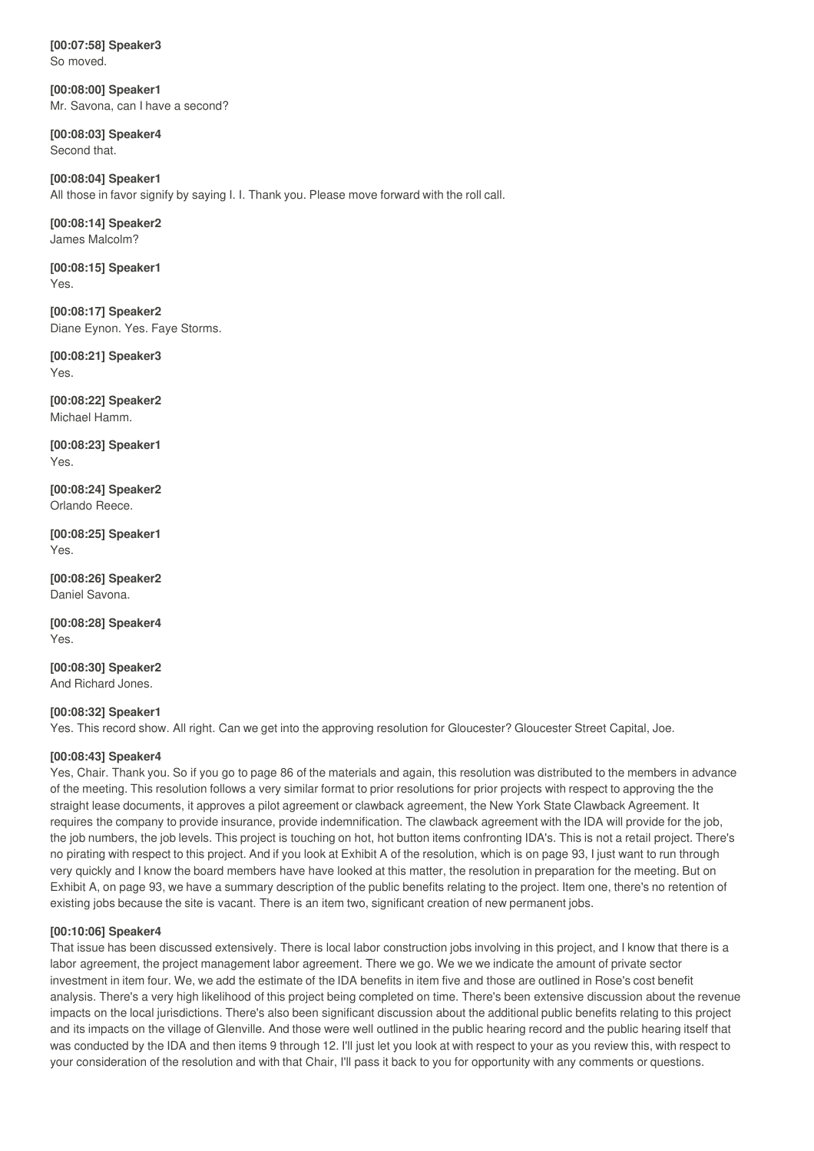**[00:07:58] Speaker3** So moved.

**[00:08:00] Speaker1** Mr. Savona, can I have a second?

**[00:08:03] Speaker4** Second that.

**[00:08:04] Speaker1** All those in favor signify by saying I. I. Thank you. Please move forward with the roll call.

**[00:08:14] Speaker2** James Malcolm?

**[00:08:15] Speaker1** Yes.

**[00:08:17] Speaker2** Diane Eynon. Yes. Faye Storms.

**[00:08:21] Speaker3** Yes.

**[00:08:22] Speaker2** Michael Hamm.

**[00:08:23] Speaker1** Yes.

**[00:08:24] Speaker2** Orlando Reece.

**[00:08:25] Speaker1** Yes.

**[00:08:26] Speaker2** Daniel Savona.

**[00:08:28] Speaker4** Yes.

**[00:08:30] Speaker2** And Richard Jones.

## **[00:08:32] Speaker1**

Yes. This record show. All right. Can we get into the approving resolution for Gloucester? Gloucester Street Capital, Joe.

## **[00:08:43] Speaker4**

Yes, Chair. Thank you. So if you go to page 86 of the materials and again, this resolution was distributed to the members in advance of the meeting. This resolution follows a very similar format to prior resolutions for prior projects with respect to approving the the straight lease documents, it approves a pilot agreement or clawback agreement, the New York State Clawback Agreement. It requires the company to provide insurance, provide indemnification. The clawback agreement with the IDA will provide for the job, the job numbers, the job levels. This project is touching on hot, hot button items confronting IDA's. This is not a retail project. There's no pirating with respect to this project. And if you look at Exhibit A of the resolution, which is on page 93, I just want to run through very quickly and I know the board members have have looked at this matter, the resolution in preparation for the meeting. But on Exhibit A, on page 93, we have a summary description of the public benefits relating to the project. Item one, there's no retention of existing jobs because the site is vacant. There is an item two, significant creation of new permanent jobs.

## **[00:10:06] Speaker4**

That issue has been discussed extensively. There is local labor construction jobs involving in this project, and I know that there is a labor agreement, the project management labor agreement. There we go. We we we indicate the amount of private sector investment in item four. We, we add the estimate of the IDA benefits in item five and those are outlined in Rose's cost benefit analysis. There's a very high likelihood of this project being completed on time. There's been extensive discussion about the revenue impacts on the local jurisdictions. There's also been significant discussion about the additional public benefits relating to this project and its impacts on the village of Glenville. And those were well outlined in the public hearing record and the public hearing itself that was conducted by the IDA and then items 9 through 12. I'll just let you look at with respect to your as you review this, with respect to your consideration of the resolution and with that Chair, I'll pass it back to you for opportunity with any comments or questions.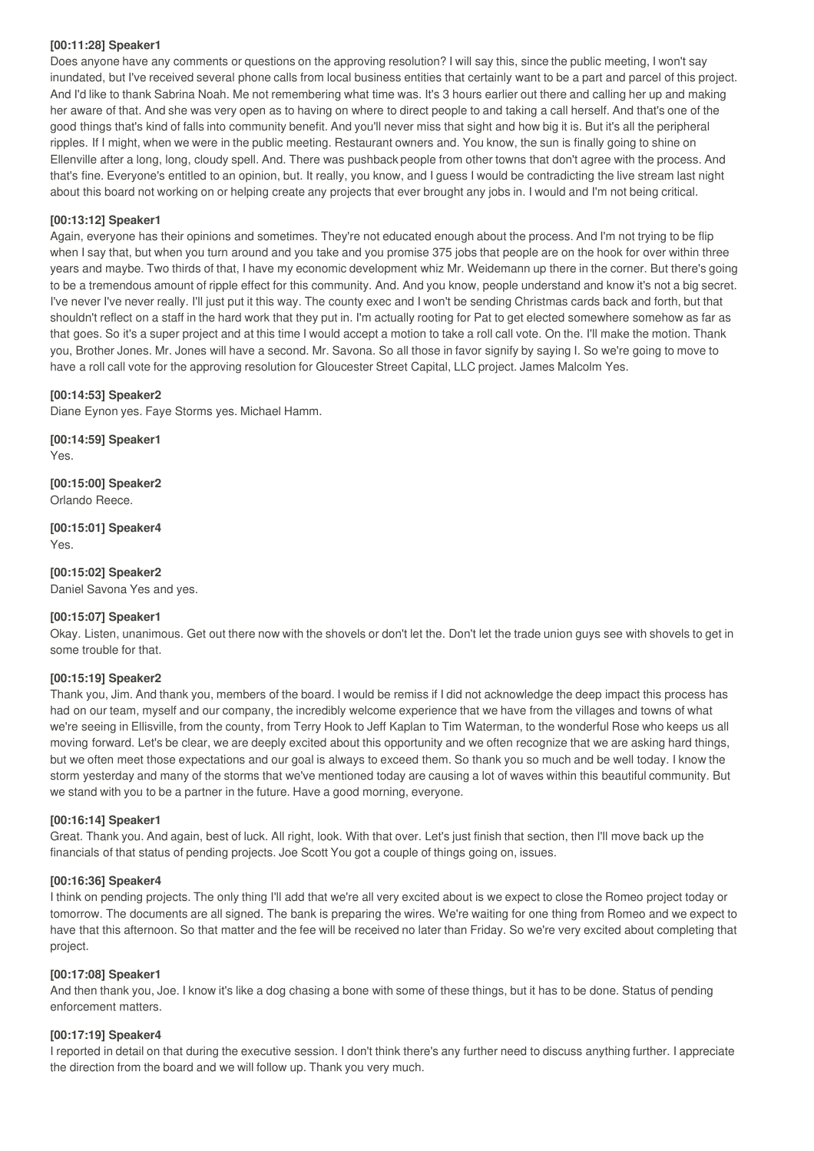## **[00:11:28] Speaker1**

Does anyone have any comments or questions on the approving resolution? I will say this, since the public meeting, I won't say inundated, but I've received several phone calls from local business entities that certainly want to be a part and parcel of this project. And I'd like to thank Sabrina Noah. Me not remembering what time was. It's 3 hours earlier out there and calling her up and making her aware of that. And she was very open as to having on where to direct people to and taking a call herself. And that's one of the good things that's kind of falls into community benefit. And you'll never miss that sight and how big it is. But it's all the peripheral ripples. If I might, when we were in the public meeting. Restaurant owners and. You know, the sun is finally going to shine on Ellenville after a long, long, cloudy spell. And. There was pushback people from other towns that don't agree with the process. And that's fine. Everyone's entitled to an opinion, but. It really, you know, and I guess I would be contradicting the live stream last night about this board not working on or helping create any projects that ever brought any jobs in. I would and I'm not being critical.

## **[00:13:12] Speaker1**

Again, everyone has their opinions and sometimes. They're not educated enough about the process. And I'm not trying to be flip when I say that, but when you turn around and you take and you promise 375 jobs that people are on the hook for over within three years and maybe. Two thirds of that, I have my economic development whiz Mr. Weidemann up there in the corner. But there's going to be a tremendous amount of ripple effect for this community. And. And you know, people understand and know it's not a big secret. I've never I've never really. I'll just put it this way. The county exec and I won't be sending Christmas cards back and forth, but that shouldn't reflect on a staff in the hard work that they put in. I'm actually rooting for Pat to get elected somewhere somehow as far as that goes. So it's a super project and at this time I would accept a motion to take a roll call vote. On the. I'll make the motion. Thank you, Brother Jones. Mr. Jones will have a second. Mr. Savona. So all those in favor signify by saying I. So we're going to move to have a roll call vote for the approving resolution for Gloucester Street Capital, LLC project. James Malcolm Yes.

### **[00:14:53] Speaker2**

Diane Eynon yes. Faye Storms yes. Michael Hamm.

**[00:14:59] Speaker1** Yes.

**[00:15:00] Speaker2** Orlando Reece.

**[00:15:01] Speaker4** Yes.

**[00:15:02] Speaker2** Daniel Savona Yes and yes.

#### **[00:15:07] Speaker1**

Okay. Listen, unanimous. Get out there now with the shovels or don't let the. Don't let the trade union guys see with shovels to get in some trouble for that.

## **[00:15:19] Speaker2**

Thank you, Jim. And thank you, members of the board. I would be remiss if I did not acknowledge the deep impact this process has had on our team, myself and our company, the incredibly welcome experience that we have from the villages and towns of what we're seeing in Ellisville, from the county, from Terry Hook to Jeff Kaplan to Tim Waterman, to the wonderful Rose who keeps us all moving forward. Let's be clear, we are deeply excited about this opportunity and we often recognize that we are asking hard things, but we often meet those expectations and our goal is always to exceed them. So thank you so much and be well today. I know the storm yesterday and many of the storms that we've mentioned today are causing a lot of waves within this beautiful community. But we stand with you to be a partner in the future. Have a good morning, everyone.

#### **[00:16:14] Speaker1**

Great. Thank you. And again, best of luck. All right, look. With that over. Let's just finish that section, then I'll move back up the financials of that status of pending projects. Joe Scott You got a couple of things going on, issues.

#### **[00:16:36] Speaker4**

I think on pending projects. The only thing I'll add that we're all very excited about is we expect to close the Romeo project today or tomorrow. The documents are all signed. The bank is preparing the wires. We're waiting for one thing from Romeo and we expect to have that this afternoon. So that matter and the fee will be received no later than Friday. So we're very excited about completing that project.

#### **[00:17:08] Speaker1**

And then thank you, Joe. I know it's like a dog chasing a bone with some of these things, but it has to be done. Status of pending enforcement matters.

#### **[00:17:19] Speaker4**

I reported in detail on that during the executive session. I don't think there's any further need to discuss anything further. I appreciate the direction from the board and we will follow up. Thank you very much.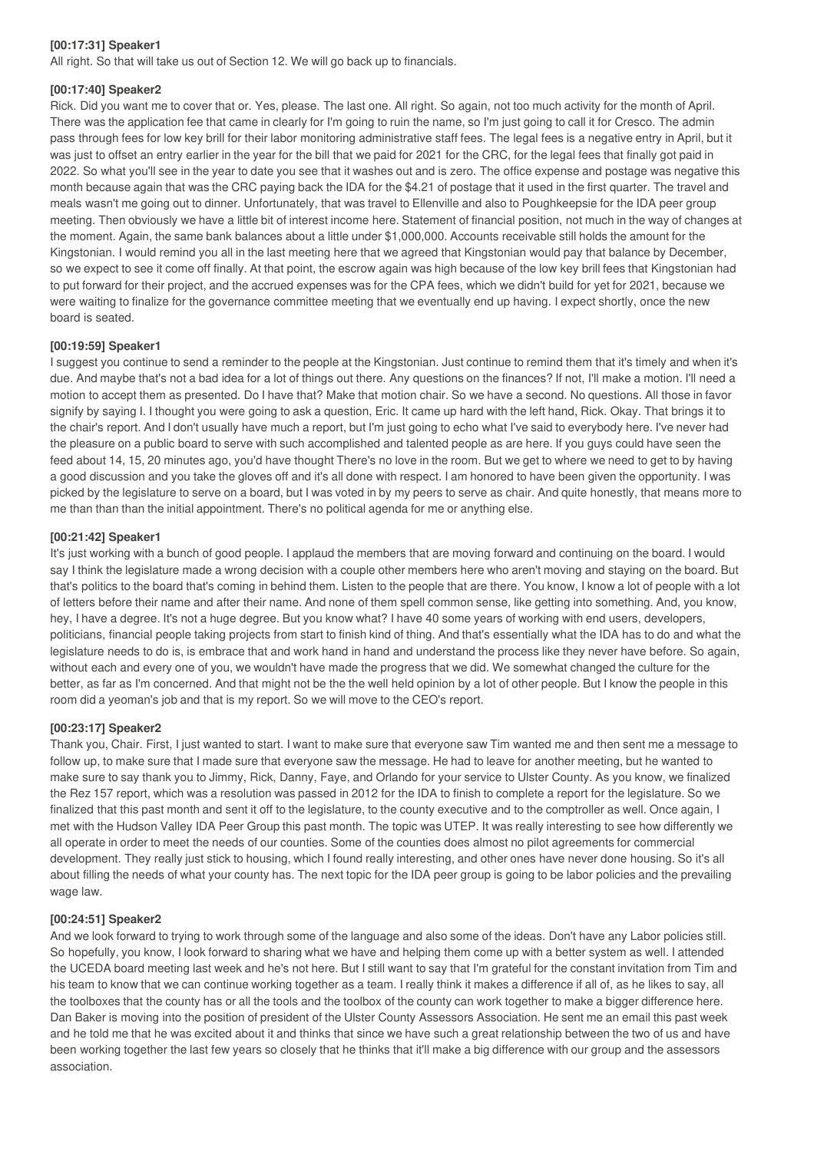## **[00:17:31] Speaker1**

All right. So that will take us out of Section 12. We will go back up to financials.

#### **[00:17:40] Speaker2**

Rick. Did you want me to cover that or. Yes, please. The last one. All right. So again, not too much activity for the month of April. There was the application fee that came in clearly for I'm going to ruin the name, so I'm just going to call it for Cresco. The admin pass through fees for low key brill for their labor monitoring administrative staff fees. The legal fees is a negative entry in April, but it was just to offset an entry earlier in the year for the bill that we paid for 2021 for the CRC, for the legal fees that finally got paid in 2022. So what you'll see in the year to date you see that it washes out and is zero. The office expense and postage was negative this month because again that was the CRC paying back the IDA for the \$4.21 of postage that it used in the first quarter. The travel and meals wasn't me going out to dinner. Unfortunately, that was travel to Ellenville and also to Poughkeepsie for the IDA peer group meeting. Then obviously we have a little bit of interest income here. Statement of financial position, not much in the way of changes at the moment. Again, the same bank balances about a little under \$1,000,000. Accounts receivable still holds the amount for the Kingstonian. I would remind you all in the last meeting here that we agreed that Kingstonian would pay that balance by December, so we expect to see it come off finally. At that point, the escrow again was high because of the low key brill fees that Kingstonian had to put forward for their project, and the accrued expenses was for the CPA fees, which we didn't build for yet for 2021, because we were waiting to finalize for the governance committee meeting that we eventually end up having. I expect shortly, once the new board is seated.

#### **[00:19:59] Speaker1**

I suggest you continue to send a reminder to the people at the Kingstonian. Just continue to remind them that it's timely and when it's due. And maybe that's not a bad idea for a lot of things out there. Any questions on the finances? If not, I'll make a motion. I'll need a motion to accept them as presented. Do I have that? Make that motion chair. So we have a second. No questions. All those in favor signify by saying I. I thought you were going to ask a question, Eric. It came up hard with the left hand, Rick. Okay. That brings it to the chair's report. And I don't usually have much a report, but I'm just going to echo what I've said to everybody here. I've never had the pleasure on a public board to serve with such accomplished and talented people as are here. If you guys could have seen the feed about 14, 15, 20 minutes ago, you'd have thought There's no love in the room. But we get to where we need to get to by having a good discussion and you take the gloves off and it's all done with respect. I am honored to have been given the opportunity. I was picked by the legislature to serve on a board, but I was voted in by my peers to serve as chair. And quite honestly, that means more to me than than than the initial appointment. There's no political agenda for me or anything else.

#### **[00:21:42] Speaker1**

It's just working with a bunch of good people. I applaud the members that are moving forward and continuing on the board. I would say I think the legislature made a wrong decision with a couple other members here who aren't moving and staying on the board. But that's politics to the board that's coming in behind them. Listen to the people that are there. You know, I know a lot of people with a lot of letters before their name and after their name. And none of them spell common sense, like getting into something. And, you know, hey, I have a degree. It's not a huge degree. But you know what? I have 40 some years of working with end users, developers, politicians, financial people taking projects from start to finish kind of thing. And that's essentially what the IDA has to do and what the legislature needs to do is, is embrace that and work hand in hand and understand the process like they never have before. So again, without each and every one of you, we wouldn't have made the progress that we did. We somewhat changed the culture for the better, as far as I'm concerned. And that might not be the the well held opinion by a lot of other people. But I know the people in this room did a yeoman's job and that is my report. So we will move to the CEO's report.

#### **[00:23:17] Speaker2**

Thank you, Chair. First, I just wanted to start. I want to make sure that everyone saw Tim wanted me and then sent me a message to follow up, to make sure that I made sure that everyone saw the message. He had to leave for another meeting, but he wanted to make sure to say thank you to Jimmy, Rick, Danny, Faye, and Orlando for your service to Ulster County. As you know, we finalized the Rez 157 report, which was a resolution was passed in 2012 for the IDA to finish to complete a report for the legislature. So we finalized that this past month and sent it off to the legislature, to the county executive and to the comptroller as well. Once again, I met with the Hudson Valley IDA Peer Group this past month. The topic was UTEP. It was really interesting to see how differently we all operate in order to meet the needs of our counties. Some of the counties does almost no pilot agreements for commercial development. They really just stick to housing, which I found really interesting, and other ones have never done housing. So it's all about filling the needs of what your county has. The next topic for the IDA peer group is going to be labor policies and the prevailing wage law.

#### **[00:24:51] Speaker2**

And we look forward to trying to work through some of the language and also some of the ideas. Don't have any Labor policies still. So hopefully, you know, I look forward to sharing what we have and helping them come up with a better system as well. I attended the UCEDA board meeting last week and he's not here. But I still want to say that I'm grateful for the constant invitation from Tim and his team to know that we can continue working together as a team. I really think it makes a difference if all of, as he likes to say, all the toolboxes that the county has or all the tools and the toolbox of the county can work together to make a bigger difference here. Dan Baker is moving into the position of president of the Ulster County Assessors Association. He sent me an email this past week and he told me that he was excited about it and thinks that since we have such a great relationship between the two of us and have been working together the last few years so closely that he thinks that it'll make a big difference with our group and the assessors association.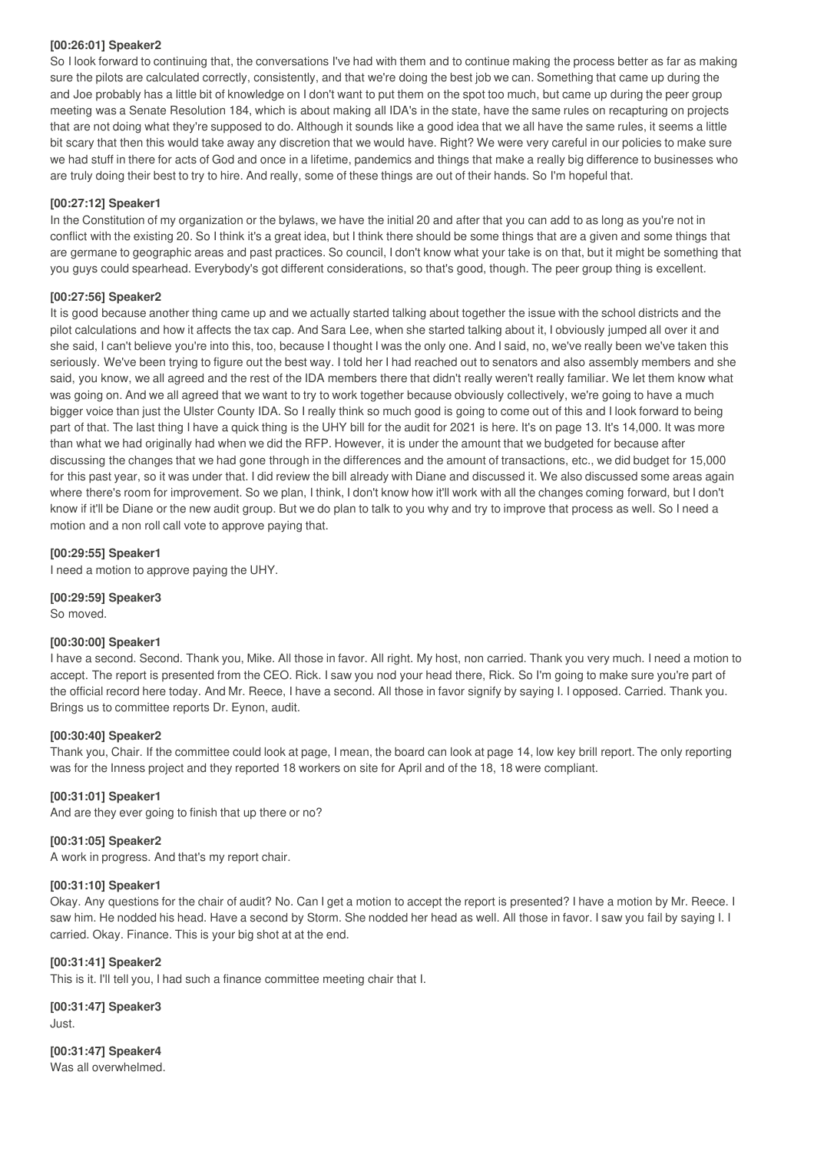#### **[00:26:01] Speaker2**

So I look forward to continuing that, the conversations I've had with them and to continue making the process better as far as making sure the pilots are calculated correctly, consistently, and that we're doing the best job we can. Something that came up during the and Joe probably has a little bit of knowledge on I don't want to put them on the spot too much, but came up during the peer group meeting was a Senate Resolution 184, which is about making all IDA's in the state, have the same rules on recapturing on projects that are not doing what they're supposed to do. Although it sounds like a good idea that we all have the same rules, it seems a little bit scary that then this would take away any discretion that we would have. Right? We were very careful in our policies to make sure we had stuff in there for acts of God and once in a lifetime, pandemics and things that make a really big difference to businesses who are truly doing their best to try to hire. And really, some of these things are out of their hands. So I'm hopeful that.

## **[00:27:12] Speaker1**

In the Constitution of my organization or the bylaws, we have the initial 20 and after that you can add to as long as you're not in conflict with the existing 20. So I think it's a great idea, but I think there should be some things that are a given and some things that are germane to geographic areas and past practices. So council, I don't know what your take is on that, but it might be something that you guys could spearhead. Everybody's got different considerations, so that's good, though. The peer group thing is excellent.

## **[00:27:56] Speaker2**

It is good because another thing came up and we actually started talking about together the issue with the school districts and the pilot calculations and how it affects the tax cap. And Sara Lee, when she started talking about it, I obviously jumped all over it and she said, I can't believe you're into this, too, because I thought I was the only one. And I said, no, we've really been we've taken this seriously. We've been trying to figure out the best way. I told her I had reached out to senators and also assembly members and she said, you know, we all agreed and the rest of the IDA members there that didn't really weren't really familiar. We let them know what was going on. And we all agreed that we want to try to work together because obviously collectively, we're going to have a much bigger voice than just the Ulster County IDA. So I really think so much good is going to come out of this and I look forward to being part of that. The last thing I have a quick thing is the UHY bill for the audit for 2021 is here. It's on page 13. It's 14,000. It was more than what we had originally had when we did the RFP. However, it is under the amount that we budgeted for because after discussing the changes that we had gone through in the differences and the amount of transactions, etc., we did budget for 15,000 for this past year, so it was under that. I did review the bill already with Diane and discussed it. We also discussed some areas again where there's room for improvement. So we plan, I think, I don't know how it'll work with all the changes coming forward, but I don't know if it'll be Diane or the new audit group. But we do plan to talk to you why and try to improve that process as well. So I need a motion and a non roll call vote to approve paying that.

## **[00:29:55] Speaker1**

I need a motion to approve paying the UHY.

**[00:29:59] Speaker3**

So moved.

## **[00:30:00] Speaker1**

I have a second. Second. Thank you, Mike. All those in favor. All right. My host, non carried. Thank you very much. I need a motion to accept. The report is presented from the CEO. Rick. I saw you nod your head there, Rick. So I'm going to make sure you're part of the official record here today. And Mr. Reece, I have a second. All those in favor signify by saying I. I opposed. Carried. Thank you. Brings us to committee reports Dr. Eynon, audit.

## **[00:30:40] Speaker2**

Thank you, Chair. If the committee could look at page, I mean, the board can look at page 14, low key brill report. The only reporting was for the Inness project and they reported 18 workers on site for April and of the 18, 18 were compliant.

## **[00:31:01] Speaker1**

And are they ever going to finish that up there or no?

## **[00:31:05] Speaker2**

A work in progress. And that's my report chair.

## **[00:31:10] Speaker1**

Okay. Any questions for the chair of audit? No. Can I get a motion to accept the report is presented? I have a motion by Mr. Reece. I saw him. He nodded his head. Have a second by Storm. She nodded her head as well. All those in favor. I saw you fail by saying I. I carried. Okay. Finance. This is your big shot at at the end.

## **[00:31:41] Speaker2**

This is it. I'll tell you, I had such a finance committee meeting chair that I.

**[00:31:47] Speaker3** Just.

**[00:31:47] Speaker4** Was all overwhelmed.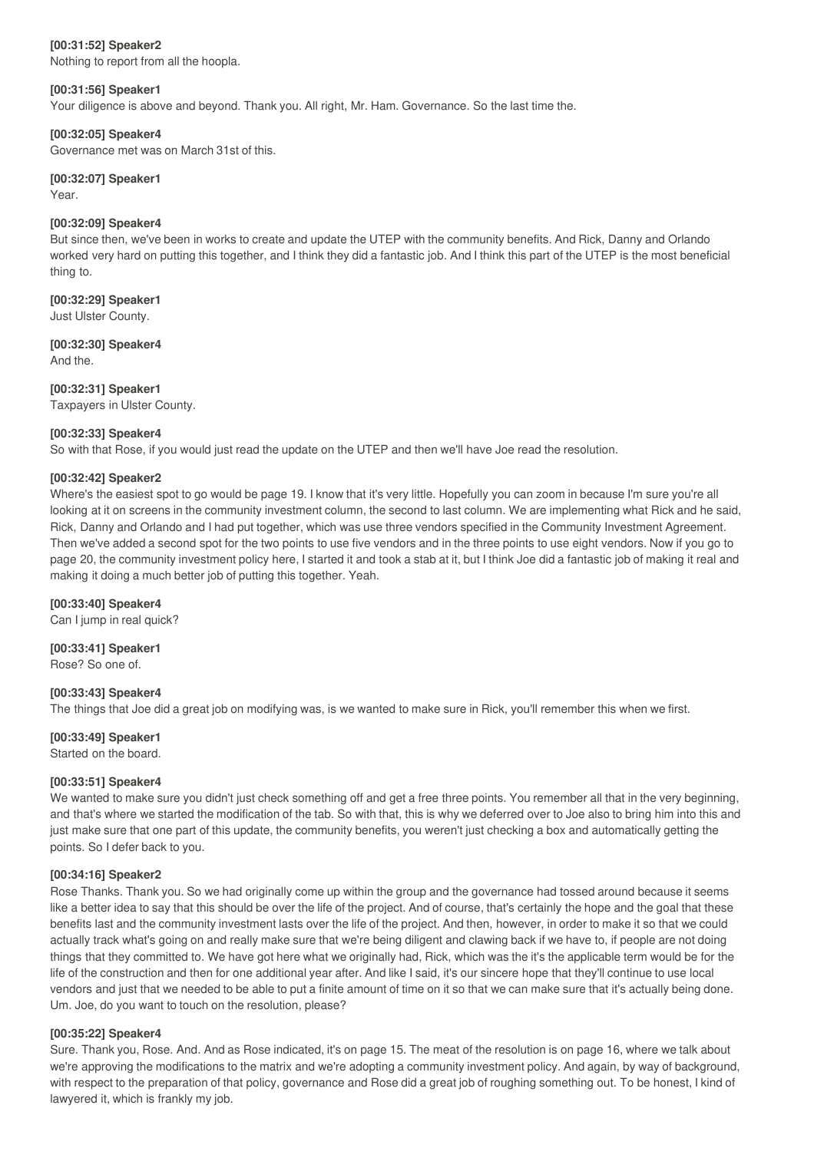## **[00:31:52] Speaker2**

Nothing to report from all the hoopla.

#### **[00:31:56] Speaker1**

Your diligence is above and beyond. Thank you. All right, Mr. Ham. Governance. So the last time the.

#### **[00:32:05] Speaker4**

Governance met was on March 31st of this.

#### **[00:32:07] Speaker1**

Year.

#### **[00:32:09] Speaker4**

But since then, we've been in works to create and update the UTEP with the community benefits. And Rick, Danny and Orlando worked very hard on putting this together, and I think they did a fantastic job. And I think this part of the UTEP is the most beneficial thing to.

## **[00:32:29] Speaker1**

Just Ulster County.

# **[00:32:30] Speaker4**

And the.

## **[00:32:31] Speaker1**

Taxpayers in Ulster County.

## **[00:32:33] Speaker4**

So with that Rose, if you would just read the update on the UTEP and then we'll have Joe read the resolution.

## **[00:32:42] Speaker2**

Where's the easiest spot to go would be page 19. I know that it's very little. Hopefully you can zoom in because I'm sure you're all looking at it on screens in the community investment column, the second to last column. We are implementing what Rick and he said, Rick, Danny and Orlando and I had put together, which was use three vendors specified in the Community Investment Agreement. Then we've added a second spot for the two points to use five vendors and in the three points to use eight vendors. Now if you go to page 20, the community investment policy here, I started it and took a stab at it, but I think Joe did a fantastic job of making it real and making it doing a much better job of putting this together. Yeah.

## **[00:33:40] Speaker4**

Can I jump in real quick?

**[00:33:41] Speaker1** Rose? So one of.

## **[00:33:43] Speaker4**

The things that Joe did a great job on modifying was, is we wanted to make sure in Rick, you'll remember this when we first.

## **[00:33:49] Speaker1**

Started on the board.

## **[00:33:51] Speaker4**

We wanted to make sure you didn't just check something off and get a free three points. You remember all that in the very beginning, and that's where we started the modification of the tab. So with that, this is why we deferred over to Joe also to bring him into this and just make sure that one part of this update, the community benefits, you weren't just checking a box and automatically getting the points. So I defer back to you.

## **[00:34:16] Speaker2**

Rose Thanks. Thank you. So we had originally come up within the group and the governance had tossed around because it seems like a better idea to say that this should be over the life of the project. And of course, that's certainly the hope and the goal that these benefits last and the community investment lasts over the life of the project. And then, however, in order to make it so that we could actually track what's going on and really make sure that we're being diligent and clawing back if we have to, if people are not doing things that they committed to. We have got here what we originally had, Rick, which was the it's the applicable term would be for the life of the construction and then for one additional year after. And like I said, it's our sincere hope that they'll continue to use local vendors and just that we needed to be able to put a finite amount of time on it so that we can make sure that it's actually being done. Um. Joe, do you want to touch on the resolution, please?

## **[00:35:22] Speaker4**

Sure. Thank you, Rose. And. And as Rose indicated, it's on page 15. The meat of the resolution is on page 16, where we talk about we're approving the modifications to the matrix and we're adopting a community investment policy. And again, by way of background, with respect to the preparation of that policy, governance and Rose did a great job of roughing something out. To be honest, I kind of lawyered it, which is frankly my job.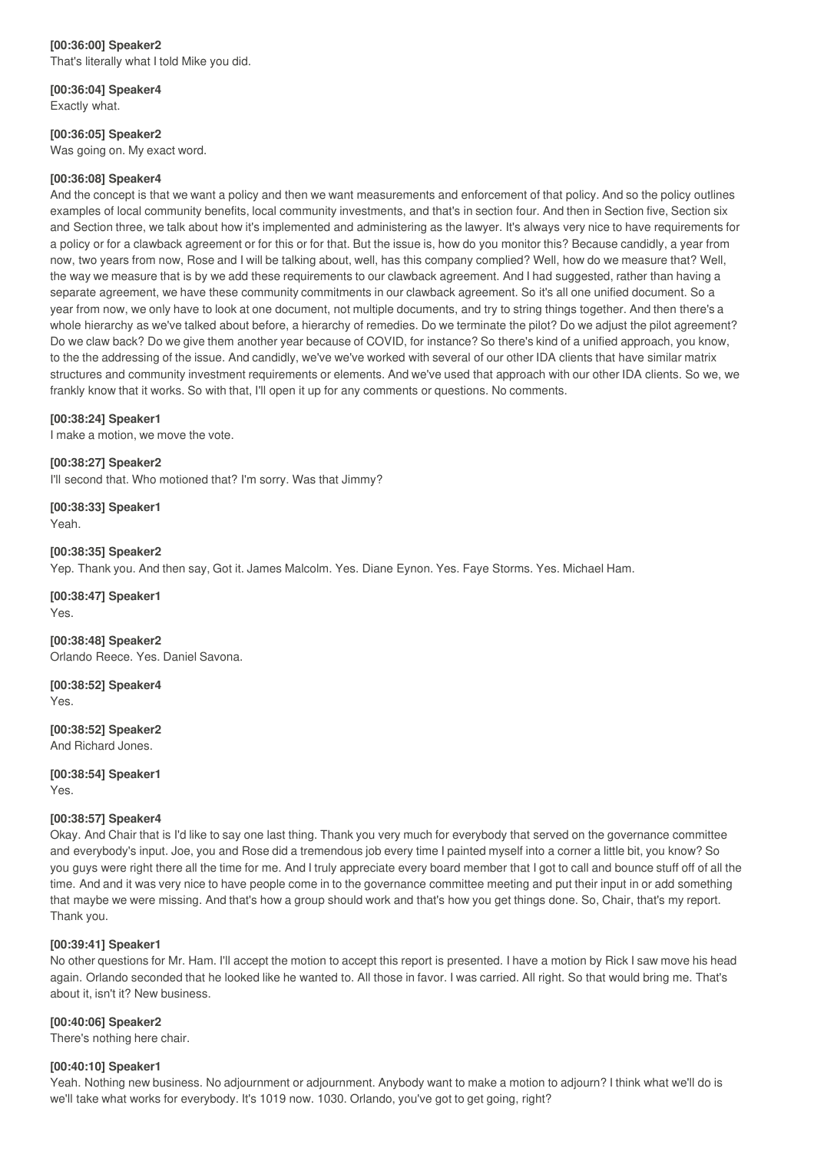**[00:36:04] Speaker4** Exactly what.

**[00:36:05] Speaker2**

Was going on. My exact word.

## **[00:36:08] Speaker4**

And the concept is that we want a policy and then we want measurements and enforcement of that policy. And so the policy outlines examples of local community benefits, local community investments, and that's in section four. And then in Section five, Section six and Section three, we talk about how it's implemented and administering as the lawyer. It's always very nice to have requirements for a policy or for a clawback agreement or for this or for that. But the issue is, how do you monitor this? Because candidly, a year from now, two years from now, Rose and I will be talking about, well, has this company complied? Well, how do we measure that? Well, the way we measure that is by we add these requirements to our clawback agreement. And I had suggested, rather than having a separate agreement, we have these community commitments in our clawback agreement. So it's all one unified document. So a year from now, we only have to look at one document, not multiple documents, and try to string things together. And then there's a whole hierarchy as we've talked about before, a hierarchy of remedies. Do we terminate the pilot? Do we adjust the pilot agreement? Do we claw back? Do we give them another year because of COVID, for instance? So there's kind of a unified approach, you know, to the the addressing of the issue. And candidly, we've we've worked with several of our other IDA clients that have similar matrix structures and community investment requirements or elements. And we've used that approach with our other IDA clients. So we, we frankly know that it works. So with that, I'll open it up for any comments or questions. No comments.

## **[00:38:24] Speaker1**

I make a motion, we move the vote.

**[00:38:27] Speaker2**

I'll second that. Who motioned that? I'm sorry. Was that Jimmy?

**[00:38:33] Speaker1** Yeah.

**[00:38:35] Speaker2** Yep. Thank you. And then say, Got it. James Malcolm. Yes. Diane Eynon. Yes. Faye Storms. Yes. Michael Ham.

**[00:38:47] Speaker1** Yes.

**[00:38:48] Speaker2** Orlando Reece. Yes. Daniel Savona.

**[00:38:52] Speaker4** Yes.

**[00:38:52] Speaker2** And Richard Jones.

**[00:38:54] Speaker1** Yes.

## **[00:38:57] Speaker4**

Okay. And Chair that is I'd like to say one last thing. Thank you very much for everybody that served on the governance committee and everybody's input. Joe, you and Rose did a tremendous job every time I painted myself into a corner a little bit, you know? So you guys were right there all the time for me. And I truly appreciate every board member that I got to call and bounce stuff off of all the time. And and it was very nice to have people come in to the governance committee meeting and put their input in or add something that maybe we were missing. And that's how a group should work and that's how you get things done. So, Chair, that's my report. Thank you.

## **[00:39:41] Speaker1**

No other questions for Mr. Ham. I'll accept the motion to accept this report is presented. I have a motion by Rick I saw move his head again. Orlando seconded that he looked like he wanted to. All those in favor. I was carried. All right. So that would bring me. That's about it, isn't it? New business.

## **[00:40:06] Speaker2**

There's nothing here chair.

## **[00:40:10] Speaker1**

Yeah. Nothing new business. No adjournment or adjournment. Anybody want to make a motion to adjourn? I think what we'll do is we'll take what works for everybody. It's 1019 now. 1030. Orlando, you've got to get going, right?